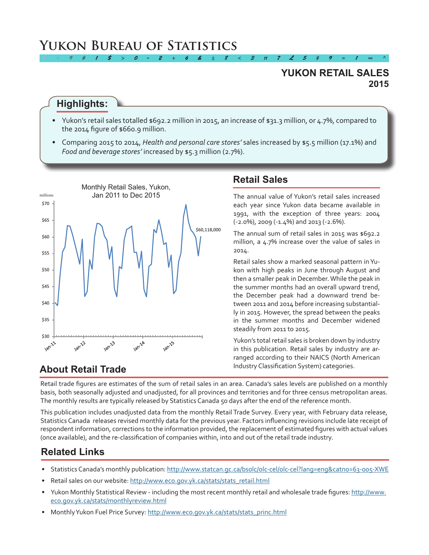# **Yukon Bureau of Statistics**

### **2015 YUKON RETAIL SALES**

#### **Highlights:**

Yukon's retail sales totalled \$692.2 million in 2015, an increase of \$31.3 million, or 4.7%, compared to the 2014 figure of \$660.9 million.

*2 ÷ 9 # 1 \$ > 0 - 2 + 6 & ± 8 < 3 π 7 £ 5 ‡ 9 ≈ 1 ∞ ^*

• Comparing 2015 to 2014, *Health and personal care stores'* sales increased by \$5.5 million (17.1%) and *Food and beverage stores'* increased by \$5.3 million (2.7%).



### **Retail Sales**

The annual value of Yukon's retail sales increased each year since Yukon data became available in 1991, with the exception of three years: 2004 (-2.0%), 2009 (-1.4%) and 2013 (-2.6%).

The annual sum of retail sales in 2015 was \$692.2 million, a 4.7% increase over the value of sales in 2014.

Retail sales show a marked seasonal pattern inYukon with high peaks in June through August and then a smaller peak in December.While the peak in the summer months had an overall upward trend, the December peak had a downward trend between 2011 and 2014 before increasing substantially in 2015. However, the spread between the peaks in the summer months and December widened steadily from 2011 to 2015.

Yukon's total retail sales is broken down by industry in this publication. Retail sales by industry are arranged according to their NAICS (North American Industry Classification System) categories.

### **About Retail Trade**

Retail trade figures are estimates of the sum of retail sales in an area. Canada's sales levels are published on a monthly basis, both seasonally adjusted and unadjusted, for all provinces and territories and for three census metropolitan areas. The monthly results are typically released by Statistics Canada 50 days after the end of the reference month.

This publication includes unadjusted data from the monthly Retail Trade Survey. Every year, with February data release, Statistics Canada releases revised monthly data for the previous year. Factors influencing revisions include late receipt of respondent information, corrections to the information provided, the replacement of estimated figures with actual values (once available), and the re-classification of companies within, into and out of the retail trade industry.

### **Related Links**

- Statistics Canada's monthly publication: <http://www.statcan.gc.ca/bsolc/olc-cel/olc-cel?lang=eng&catno=63-005-XWE>
- Retail sales on our website: http://www.eco.gov.yk.ca/stats/stats\_retail.html
- Yukon Monthly Statistical Review including the most recent monthly retail and wholesale trade figures: [http://www.](http://www.eco.gov.yk.ca/stats/monthlyreview.html) [eco.gov.yk.ca/stats/monthlyreview.html](http://www.eco.gov.yk.ca/stats/monthlyreview.html)
- Monthly Yukon Fuel Price Survey: [http://www.eco.gov.yk.ca/stats/stats\\_princ.html](http://www.eco.gov.yk.ca/stats/stats_princ.html)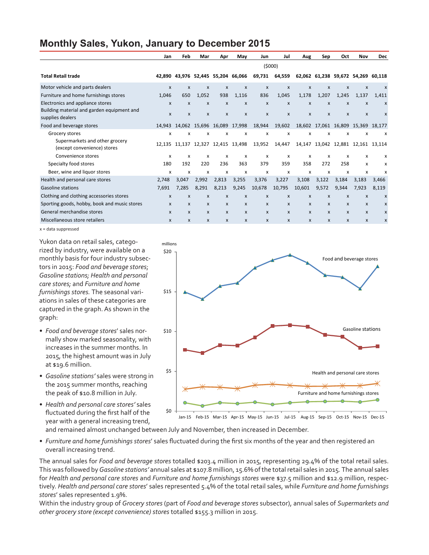### **Monthly Sales, Yukon, January to December 2015**

|                                                                                | Jan          | Feb                       | Mar                         | Apr                       | May                                | Jun                       | Jul          | Aug                       | Sep          | Oct                                     | Nov                       | Dec                                |
|--------------------------------------------------------------------------------|--------------|---------------------------|-----------------------------|---------------------------|------------------------------------|---------------------------|--------------|---------------------------|--------------|-----------------------------------------|---------------------------|------------------------------------|
|                                                                                | (5000)       |                           |                             |                           |                                    |                           |              |                           |              |                                         |                           |                                    |
| <b>Total Retail trade</b>                                                      | 42.890       |                           |                             |                           | 43,976 52,445 55,204 66,066        | 69,731                    | 64,559       |                           |              |                                         |                           | 62,062 61,238 59,672 54,269 60,118 |
| Motor vehicle and parts dealers                                                | $\mathsf{x}$ | $\boldsymbol{\mathsf{x}}$ | $\mathsf{x}$                | $\boldsymbol{\mathsf{x}}$ | X                                  | $\boldsymbol{\mathsf{x}}$ | $\mathsf{x}$ | $\mathsf{x}$              | $\mathsf{x}$ | $\mathsf{x}$                            | $\boldsymbol{\mathsf{x}}$ | $\boldsymbol{\mathsf{x}}$          |
| Furniture and home furnishings stores                                          | 1,046        | 650                       | 1.052                       | 938                       | 1,116                              | 836                       | 1,045        | 1,178                     | 1,207        | 1.245                                   | 1,137                     | 1.411                              |
| Electronics and appliance stores<br>Building material and garden equipment and | X            | X                         | X                           | X                         | X                                  | $\mathsf{x}$              | $\mathsf{x}$ | X                         | X            | X                                       | X                         | $\boldsymbol{\mathsf{x}}$          |
| supplies dealers                                                               | X            | X                         | X                           | X                         | X                                  | $\mathsf{x}$              | $\mathsf{x}$ | $\boldsymbol{\mathsf{x}}$ | X            | X                                       | $\mathsf{x}$              | $\boldsymbol{\mathsf{x}}$          |
| Food and beverage stores                                                       |              |                           | 14,943 14,062 15,696 16,089 |                           | 17,998                             | 18,944                    | 19,602       |                           |              | 18,602 17,061 16,809 15,369 18,177      |                           |                                    |
| Grocery stores                                                                 | x            | x                         | x                           | x                         | x                                  | x                         | x            | x                         | x            | x                                       | x                         | x                                  |
| Supermarkets and other grocery<br>(except convenience) stores                  |              |                           |                             |                           | 12,135 11,137 12,327 12,415 13,498 | 13,952                    | 14,447       |                           |              | 14, 147 13, 042 12, 881 12, 161 13, 114 |                           |                                    |
| Convenience stores                                                             | x            | x                         | x                           | x                         | x                                  | x                         | x            | х                         | x            | x                                       | x                         | х                                  |
| Specialty food stores                                                          | 180          | 192                       | 220                         | 236                       | 363                                | 379                       | 359          | 358                       | 272          | 258                                     | x                         | x                                  |
| Beer, wine and liquor stores                                                   | x            | x                         | x                           | x                         | x                                  | x                         | X            | x                         | x            | x                                       | x                         | x                                  |
| Health and personal care stores                                                | 2,748        | 3,047                     | 2,992                       | 2,813                     | 3,255                              | 3,376                     | 3,227        | 3,108                     | 3,122        | 3,184                                   | 3,183                     | 3,466                              |
| Gasoline stations                                                              | 7.691        | 7.285                     | 8.291                       | 8.213                     | 9,245                              | 10,678                    | 10,795       | 10,601                    | 9,572        | 9.344                                   | 7,923                     | 8,119                              |
| Clothing and clothing accessories stores                                       | $\mathsf{x}$ | $\boldsymbol{x}$          | X                           | $\boldsymbol{\mathsf{x}}$ | X                                  | $\mathsf{x}$              | X            | X                         | X            | $\mathsf{x}$                            | $\mathsf{x}$              | $\boldsymbol{\mathsf{x}}$          |
| Sporting goods, hobby, book and music stores                                   | X            | X                         | X                           | X                         | $\mathsf{x}$                       | $\mathsf{x}$              | $\mathsf{x}$ | X                         | X            | X                                       | $\mathsf{x}$              | X                                  |
| General merchandise stores                                                     | $\mathsf{x}$ | X                         | X                           | X                         | $\mathsf{x}$                       | $\mathsf{x}$              | $\mathsf{x}$ | X                         | $\mathsf{x}$ | $\mathsf{x}$                            | $\mathsf{x}$              | $\boldsymbol{\mathsf{x}}$          |
| Miscellaneous store retailers                                                  | X            | X                         | X                           | X                         | X                                  | $\mathsf{x}$              | X            | X                         | X            | X                                       | X                         | x                                  |

x = data suppressed

Yukon data on retail sales, categorized by industry, were available on a monthly basis for four industry subsectors in 2015: *Food and beverage stores*; *Gasoline stations; Health and personal care stores;* and *Furniture and home furnishings stores.* The seasonal variations in sales of these categories are captured in the graph. As shown in the graph:

- *• Food and beverage stores*' sales normally show marked seasonality, with increases in the summer months. In 2015, the highest amount was in July at \$19.6 million.
- *• Gasoline stations'* sales were strong in the 2015 summer months, reaching the peak of \$10.8 million in July.
- *• Health and personal care stores'* sales fluctuated during the first half of the year with a general increasing trend,



and remained almost unchanged between July and November, then increased in December.

*• Furniture and home furnishings stores*' sales fluctuated during the first six months of the year and then registered an overall increasing trend.

The annual sales for *Food and beverage stores* totalled \$203.4 million in 2015, representing 29.4% of the total retail sales. This was followed by*Gasoline stations'* annual sales at \$107.8 million, 15.6% ofthe totalretail sales in 2015*.* The annual sales for *Health and personal care stores* and *Furniture and home furnishings stores* were \$37.5 million and \$12.9 million, respectively. *Health and personal care stores*' sales represented 5.4% of the total retail sales, while *Furniture and home furnishings stores*' sales represented 1.9%.

Within the industry group of *Grocery stores* (part of *Food and beverage stores* subsector), annual sales of *Supermarkets and other grocery store (except convenience) stores* totalled \$155.3 million in 2015.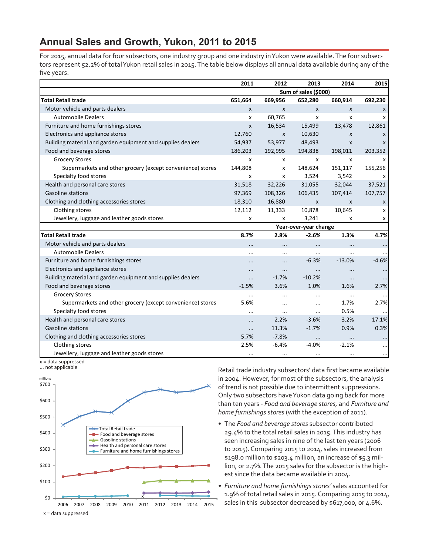### **Annual Sales and Growth, Yukon, 2011 to 2015**

For 2015, annual data for four subsectors, one industry group and one industry inYukon were available.The four subsectors represent 52.2% of total Yukon retail sales in 2015. The table below displays all annual data available during any of the five years.

|                                                             | 2011         | 2012                  | 2013                 | 2014         | 2015     |  |  |
|-------------------------------------------------------------|--------------|-----------------------|----------------------|--------------|----------|--|--|
|                                                             |              |                       | Sum of sales (\$000) |              |          |  |  |
| <b>Total Retail trade</b>                                   | 651,664      | 669,956               | 652,280              | 660,914      | 692,230  |  |  |
| Motor vehicle and parts dealers                             | $\mathsf{x}$ | X                     | $\mathsf{x}$         | $\mathsf{x}$ | X        |  |  |
| <b>Automobile Dealers</b>                                   | х            | 60,765                | x                    | x            | x        |  |  |
| Furniture and home furnishings stores                       | X            | 16,534                | 15,499               | 13,478       | 12,861   |  |  |
| Electronics and appliance stores                            | 12,760       | X                     | 10,630               | X            | X        |  |  |
| Building material and garden equipment and supplies dealers | 54,937       | 53,977                | 48,493               | X            | X        |  |  |
| Food and beverage stores                                    | 186,203      | 192,995               | 194,838              | 198,011      | 203,352  |  |  |
| <b>Grocery Stores</b>                                       | x            | x                     | x                    | X            | x        |  |  |
| Supermarkets and other grocery (except convenience) stores  | 144,808      | x                     | 148,624              | 151,117      | 155,256  |  |  |
| Specialty food stores                                       | X            | x                     | 3,524                | 3,542        | x        |  |  |
| Health and personal care stores                             | 31,518       | 32,226                | 31,055               | 32,044       | 37,521   |  |  |
| Gasoline stations                                           | 97,369       | 108,326               | 106,435              | 107,414      | 107,757  |  |  |
| Clothing and clothing accessories stores                    | 18,310       | 16,880                | $\mathsf{x}$         | $\mathsf{x}$ | X        |  |  |
| Clothing stores                                             | 12,112       | 11,333                | 10,878               | 10,645       | x        |  |  |
| Jewellery, luggage and leather goods stores                 | х            | x                     | 3,241                | x            | x        |  |  |
|                                                             |              | Year-over-year change |                      |              |          |  |  |
| <b>Total Retail trade</b>                                   | 8.7%         | 2.8%                  | $-2.6%$              | 1.3%         | 4.7%     |  |  |
| Motor vehicle and parts dealers                             | $\cdots$     | $\cdots$              | $\cdots$             | $\cdots$     |          |  |  |
| <b>Automobile Dealers</b>                                   | $\cdots$     |                       | $\cdots$             |              | $\cdots$ |  |  |
| Furniture and home furnishings stores                       |              | $\cdots$              | $-6.3%$              | $-13.0%$     | $-4.6%$  |  |  |
| Electronics and appliance stores                            | $\cdots$     | $\cdots$              | $\cdots$             | $\ddotsc$    |          |  |  |
| Building material and garden equipment and supplies dealers |              | $-1.7%$               | $-10.2%$             | $\cdots$     | $\cdots$ |  |  |
| Food and beverage stores                                    | $-1.5%$      | 3.6%                  | 1.0%                 | 1.6%         | 2.7%     |  |  |
| <b>Grocery Stores</b>                                       |              | $\cdots$              | $\cdots$             | $\cdots$     | $\cdots$ |  |  |
| Supermarkets and other grocery (except convenience) stores  | 5.6%         |                       | $\cdots$             | 1.7%         | 2.7%     |  |  |
| Specialty food stores                                       | $\cdots$     | $\cdots$              | $\cdots$             | 0.5%         | $\cdots$ |  |  |
| Health and personal care stores                             | $\cdots$     | 2.2%                  | $-3.6%$              | 3.2%         | 17.1%    |  |  |
| Gasoline stations                                           |              | 11.3%                 | $-1.7%$              | 0.9%         | 0.3%     |  |  |
| Clothing and clothing accessories stores                    | 5.7%         | $-7.8%$               | $\cdots$             | $\cdots$     |          |  |  |
| Clothing stores                                             | 2.5%         | $-6.4%$               | $-4.0%$              | $-2.1%$      |          |  |  |
| Jewellery, luggage and leather goods stores                 | $\cdots$     | $\cdots$              | $\cdots$             | $\cdots$     |          |  |  |

x = data suppressed



Retail trade industry subsectors' data first became available in 2004. However, for most of the subsectors, the analysis of trend is not possible due to intermittent suppressions. Only two subsectors haveYukon data going back for more than ten years - *Food and beverage stores,* and *Furniture and home furnishings stores* (with the exception of 2011).

- • The *Food and beverage stores* subsector contributed 29.4% to the total retail sales in 2015.This industry has seen increasing sales in nine of the last ten years (2006 to 2015). Comparing 2015 to 2014, sales increased from \$198.0 million to \$203.4 million, an increase of \$5.3 million, or 2.7%.The 2015 sales for the subsector is the highest since the data became available in 2004.
- *• Furniture and home furnishings stores'* sales accounted for 1.9% of total retail sales in 2015. Comparing 2015 to 2014, sales in this subsector decreased by \$617,000, or 4.6%.